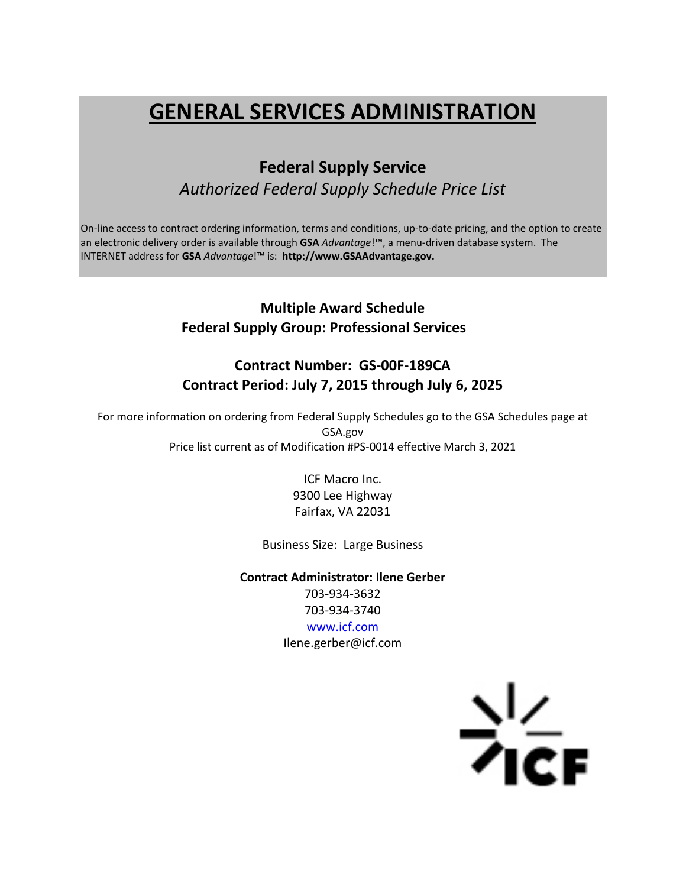# **GENERAL SERVICES ADMINISTRATION**

## **Federal Supply Service** *Authorized Federal Supply Schedule Price List*

On-line access to contract ordering information, terms and conditions, up-to-date pricing, and the option to create an electronic delivery order is available through **GSA** *Advantage*!™, a menu‐driven database system. The INTERNET address for **GSA** *Advantage*!™ is: **http://www.GSAAdvantage.gov.**

## **Multiple Award Schedule Federal Supply Group: Professional Services**

## **Contract Number: GS‐00F‐189CA Contract Period: July 7, 2015 through July 6, 2025**

For more information on ordering from Federal Supply Schedules go to the GSA Schedules page at GSA.gov Price list current as of Modification #PS‐0014 effective March 3, 2021

> ICF Macro Inc. 9300 Lee Highway Fairfax, VA 22031

Business Size: Large Business

**Contract Administrator: Ilene Gerber** 703‐934‐3632 703‐934‐3740 www.icf.com Ilene.gerber@icf.com

 $\frac{2}{\sqrt{2}}$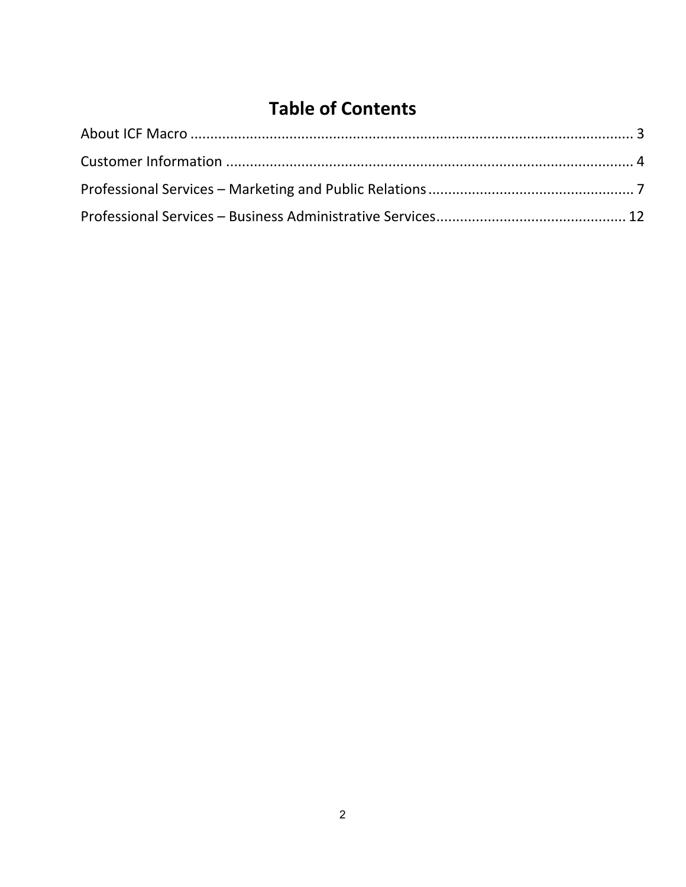## **Table of Contents**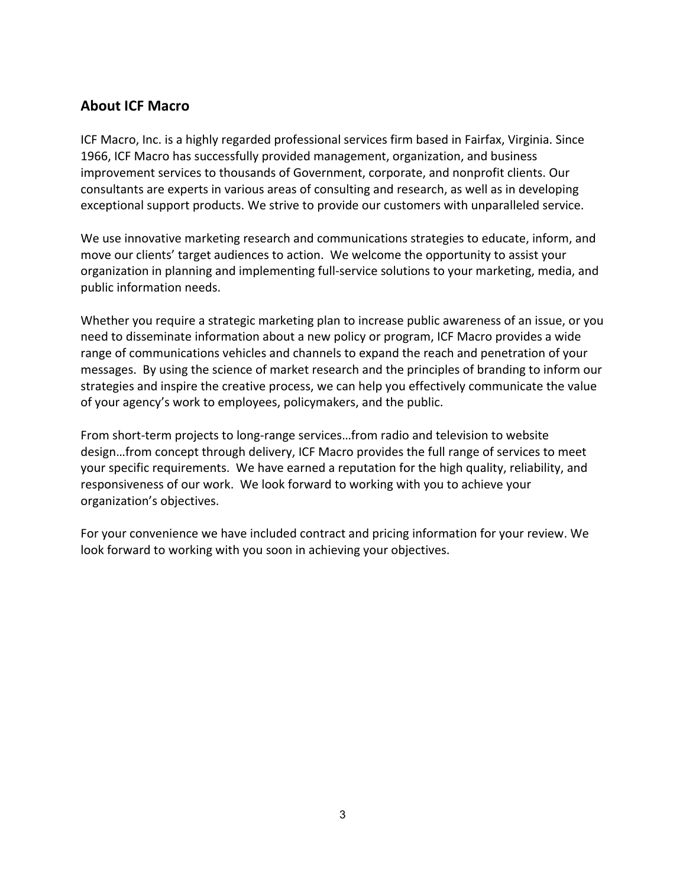## **About ICF Macro**

ICF Macro, Inc. is a highly regarded professional services firm based in Fairfax, Virginia. Since 1966, ICF Macro has successfully provided management, organization, and business improvement services to thousands of Government, corporate, and nonprofit clients. Our consultants are experts in various areas of consulting and research, as well as in developing exceptional support products. We strive to provide our customers with unparalleled service.

We use innovative marketing research and communications strategies to educate, inform, and move our clients' target audiences to action. We welcome the opportunity to assist your organization in planning and implementing full‐service solutions to your marketing, media, and public information needs.

Whether you require a strategic marketing plan to increase public awareness of an issue, or you need to disseminate information about a new policy or program, ICF Macro provides a wide range of communications vehicles and channels to expand the reach and penetration of your messages. By using the science of market research and the principles of branding to inform our strategies and inspire the creative process, we can help you effectively communicate the value of your agency's work to employees, policymakers, and the public.

From short-term projects to long-range services...from radio and television to website design…from concept through delivery, ICF Macro provides the full range of services to meet your specific requirements. We have earned a reputation for the high quality, reliability, and responsiveness of our work. We look forward to working with you to achieve your organization's objectives.

For your convenience we have included contract and pricing information for your review. We look forward to working with you soon in achieving your objectives.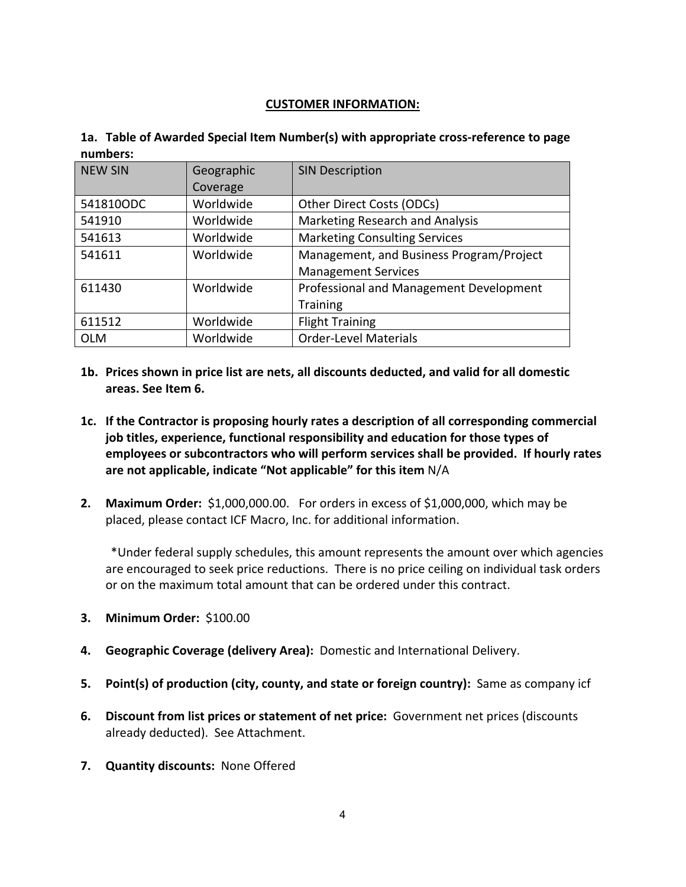#### **CUSTOMER INFORMATION:**

| 1a. Table of Awarded Special Item Number(s) with appropriate cross-reference to page |
|--------------------------------------------------------------------------------------|
| numbers:                                                                             |

| <b>NEW SIN</b> | Geographic | <b>SIN Description</b>                   |  |
|----------------|------------|------------------------------------------|--|
|                | Coverage   |                                          |  |
| 541810ODC      | Worldwide  | Other Direct Costs (ODCs)                |  |
| 541910         | Worldwide  | Marketing Research and Analysis          |  |
| 541613         | Worldwide  | <b>Marketing Consulting Services</b>     |  |
| 541611         | Worldwide  | Management, and Business Program/Project |  |
|                |            | <b>Management Services</b>               |  |
| 611430         | Worldwide  | Professional and Management Development  |  |
|                |            | <b>Training</b>                          |  |
| 611512         | Worldwide  | <b>Flight Training</b>                   |  |
| <b>OLM</b>     | Worldwide  | <b>Order-Level Materials</b>             |  |

- **1b. Prices shown in price list are nets, all discounts deducted, and valid for all domestic areas. See Item 6.**
- **1c. If the Contractor is proposing hourly rates a description of all corresponding commercial job titles, experience, functional responsibility and education for those types of employees or subcontractors who will perform services shall be provided. If hourly rates are not applicable, indicate "Not applicable" for this item** N/A
- **2. Maximum Order:** \$1,000,000.00. For orders in excess of \$1,000,000, which may be placed, please contact ICF Macro, Inc. for additional information.

 \*Under federal supply schedules, this amount represents the amount over which agencies are encouraged to seek price reductions. There is no price ceiling on individual task orders or on the maximum total amount that can be ordered under this contract.

- **3. Minimum Order:** \$100.00
- **4. Geographic Coverage (delivery Area):** Domestic and International Delivery.
- **5. Point(s) of production (city, county, and state or foreign country):** Same as company icf
- **6. Discount from list prices or statement of net price:** Government net prices (discounts already deducted). See Attachment.
- **7. Quantity discounts:** None Offered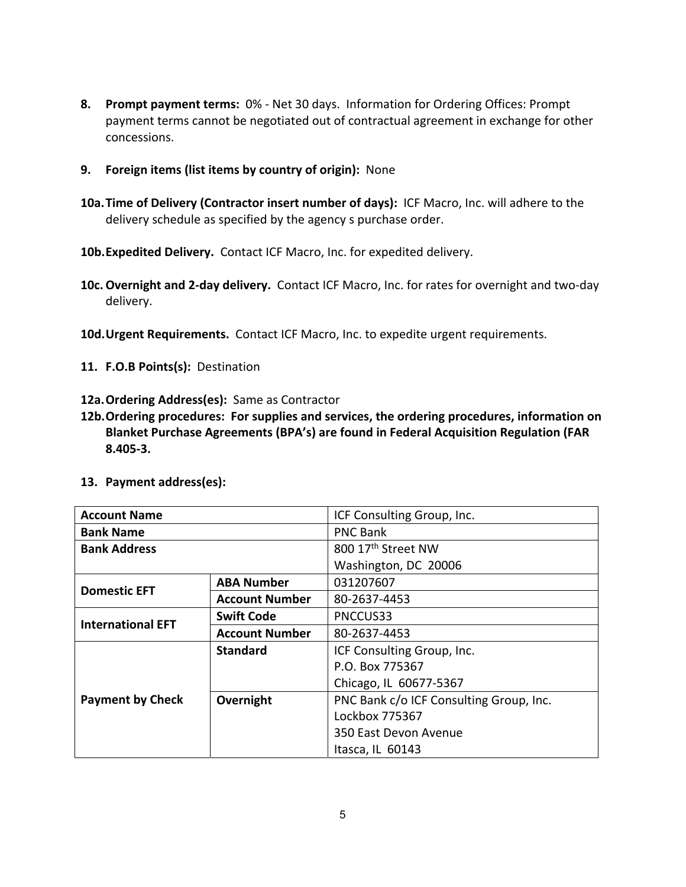- **8. Prompt payment terms:** 0% ‐ Net 30 days. Information for Ordering Offices: Prompt payment terms cannot be negotiated out of contractual agreement in exchange for other concessions.
- **9. Foreign items (list items by country of origin):** None
- **10a.Time of Delivery (Contractor insert number of days):** ICF Macro, Inc. will adhere to the delivery schedule as specified by the agency s purchase order.
- 10b. Expedited Delivery. Contact ICF Macro, Inc. for expedited delivery.
- **10c.Overnight and 2‐day delivery.** Contact ICF Macro, Inc. for rates for overnight and two‐day delivery.
- 10d. Urgent Requirements. Contact ICF Macro, Inc. to expedite urgent requirements.
- 11. **F.O.B Points(s):** Destination
- 12a. Ordering Address(es): Same as Contractor
- **12b.Ordering procedures: For supplies and services, the ordering procedures, information on Blanket Purchase Agreements (BPA's) are found in Federal Acquisition Regulation (FAR 8.405‐3.**
- **13. Payment address(es):**

| <b>Account Name</b>      |                       | ICF Consulting Group, Inc.              |  |  |  |
|--------------------------|-----------------------|-----------------------------------------|--|--|--|
| <b>Bank Name</b>         |                       | <b>PNC Bank</b>                         |  |  |  |
| <b>Bank Address</b>      |                       | 800 17th Street NW                      |  |  |  |
|                          |                       | Washington, DC 20006                    |  |  |  |
| <b>ABA Number</b>        |                       | 031207607                               |  |  |  |
| <b>Domestic EFT</b>      | <b>Account Number</b> | 80-2637-4453                            |  |  |  |
| <b>International EFT</b> | <b>Swift Code</b>     | PNCCUS33                                |  |  |  |
|                          | <b>Account Number</b> | 80-2637-4453                            |  |  |  |
|                          | <b>Standard</b>       | ICF Consulting Group, Inc.              |  |  |  |
|                          |                       | P.O. Box 775367                         |  |  |  |
|                          |                       | Chicago, IL 60677-5367                  |  |  |  |
| <b>Payment by Check</b>  | Overnight             | PNC Bank c/o ICF Consulting Group, Inc. |  |  |  |
|                          |                       | Lockbox 775367                          |  |  |  |
|                          |                       | 350 East Devon Avenue                   |  |  |  |
|                          |                       | Itasca, IL 60143                        |  |  |  |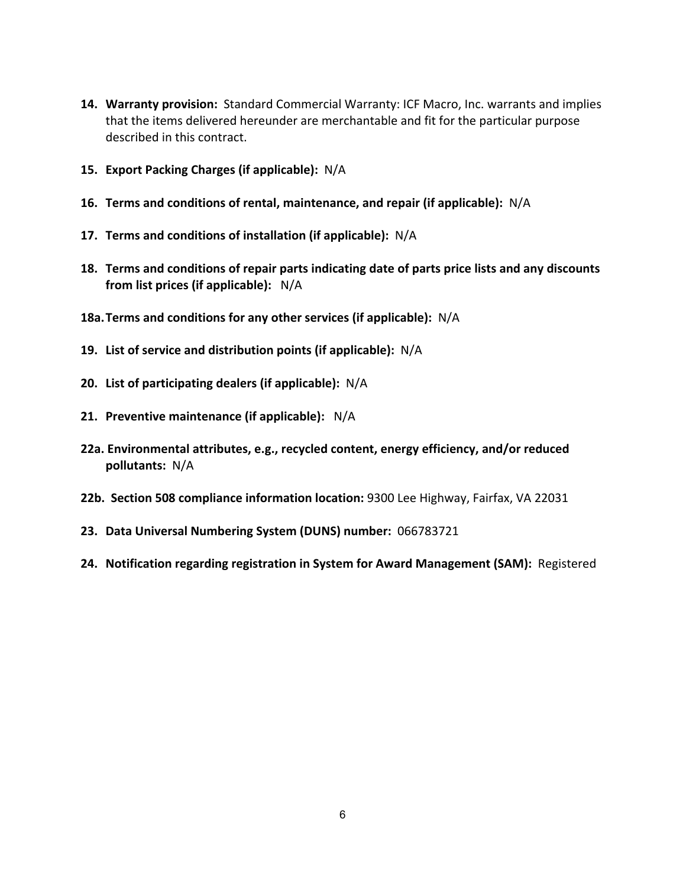- 14. Warranty provision: Standard Commercial Warranty: ICF Macro, Inc. warrants and implies that the items delivered hereunder are merchantable and fit for the particular purpose described in this contract.
- **15. Export Packing Charges (if applicable):** N/A
- **16. Terms and conditions of rental, maintenance, and repair (if applicable):** N/A
- **17. Terms and conditions of installation (if applicable):** N/A
- **18. Terms and conditions of repair parts indicating date of parts price lists and any discounts from list prices (if applicable):** N/A
- **18a.Terms and conditions for any other services (if applicable):** N/A
- **19. List of service and distribution points (if applicable):** N/A
- **20. List of participating dealers (if applicable):** N/A
- **21. Preventive maintenance (if applicable):** N/A
- **22a. Environmental attributes, e.g., recycled content, energy efficiency, and/or reduced pollutants:** N/A
- **22b. Section 508 compliance information location:** 9300 Lee Highway, Fairfax, VA 22031
- **23. Data Universal Numbering System (DUNS) number:** 066783721
- **24. Notification regarding registration in System for Award Management (SAM):** Registered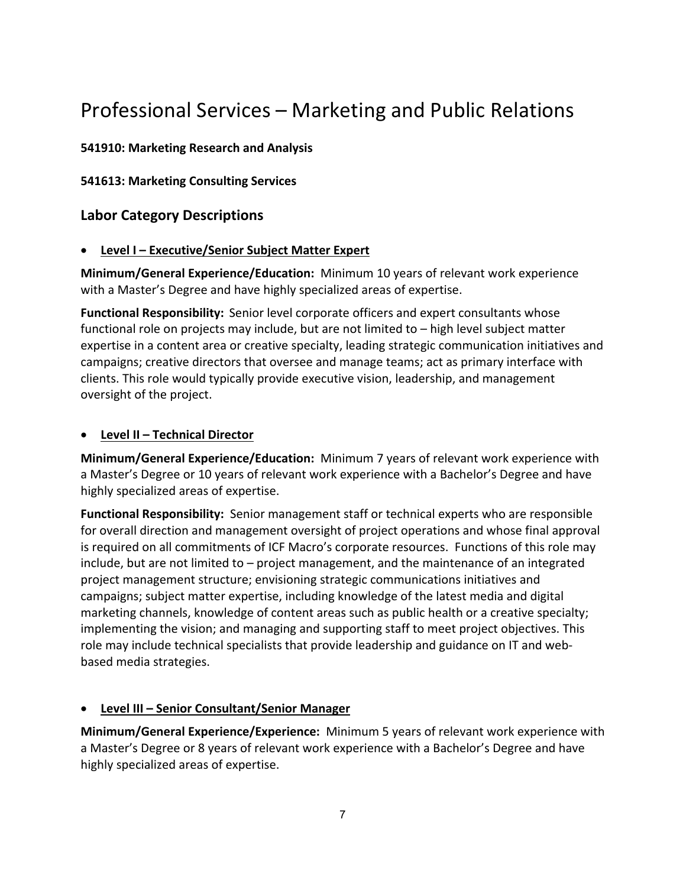# Professional Services – Marketing and Public Relations

### **541910: Marketing Research and Analysis**

**541613: Marketing Consulting Services**

## **Labor Category Descriptions**

#### **Level I – Executive/Senior Subject Matter Expert**

**Minimum/General Experience/Education:** Minimum 10 years of relevant work experience with a Master's Degree and have highly specialized areas of expertise.

**Functional Responsibility:** Senior level corporate officers and expert consultants whose functional role on projects may include, but are not limited to – high level subject matter expertise in a content area or creative specialty, leading strategic communication initiatives and campaigns; creative directors that oversee and manage teams; act as primary interface with clients. This role would typically provide executive vision, leadership, and management oversight of the project.

#### **Level II – Technical Director**

**Minimum/General Experience/Education:** Minimum 7 years of relevant work experience with a Master's Degree or 10 years of relevant work experience with a Bachelor's Degree and have highly specialized areas of expertise.

**Functional Responsibility:** Senior management staff or technical experts who are responsible for overall direction and management oversight of project operations and whose final approval is required on all commitments of ICF Macro's corporate resources. Functions of this role may include, but are not limited to – project management, and the maintenance of an integrated project management structure; envisioning strategic communications initiatives and campaigns; subject matter expertise, including knowledge of the latest media and digital marketing channels, knowledge of content areas such as public health or a creative specialty; implementing the vision; and managing and supporting staff to meet project objectives. This role may include technical specialists that provide leadership and guidance on IT and web‐ based media strategies.

### **Level III – Senior Consultant/Senior Manager**

**Minimum/General Experience/Experience:** Minimum 5 years of relevant work experience with a Master's Degree or 8 years of relevant work experience with a Bachelor's Degree and have highly specialized areas of expertise.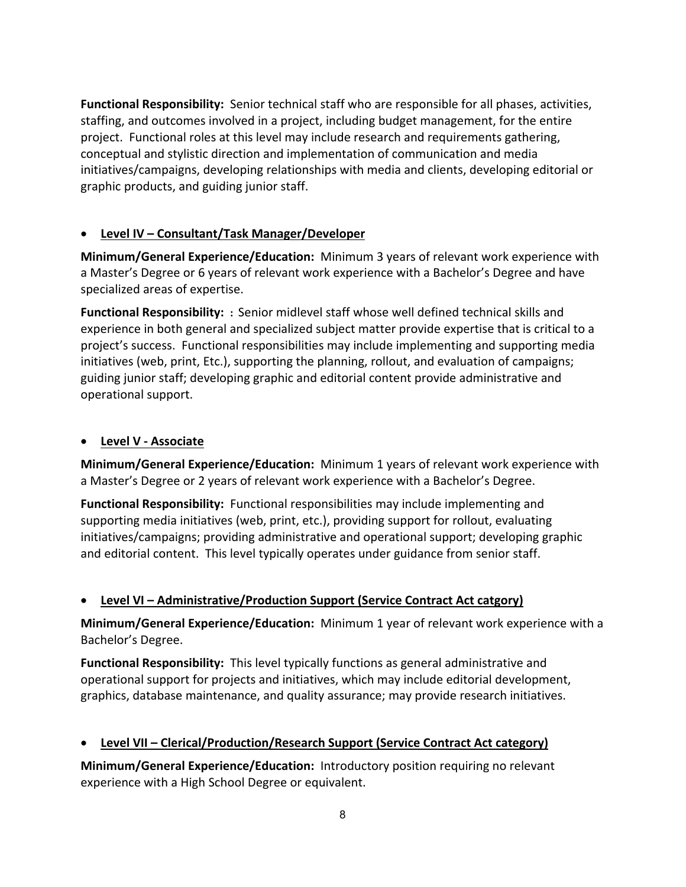**Functional Responsibility:** Senior technical staff who are responsible for all phases, activities, staffing, and outcomes involved in a project, including budget management, for the entire project. Functional roles at this level may include research and requirements gathering, conceptual and stylistic direction and implementation of communication and media initiatives/campaigns, developing relationships with media and clients, developing editorial or graphic products, and guiding junior staff.

## **Level IV – Consultant/Task Manager/Developer**

**Minimum/General Experience/Education:** Minimum 3 years of relevant work experience with a Master's Degree or 6 years of relevant work experience with a Bachelor's Degree and have specialized areas of expertise.

**Functional Responsibility: :** Senior midlevel staff whose well defined technical skills and experience in both general and specialized subject matter provide expertise that is critical to a project's success. Functional responsibilities may include implementing and supporting media initiatives (web, print, Etc.), supporting the planning, rollout, and evaluation of campaigns; guiding junior staff; developing graphic and editorial content provide administrative and operational support.

### **Level V ‐ Associate**

**Minimum/General Experience/Education:** Minimum 1 years of relevant work experience with a Master's Degree or 2 years of relevant work experience with a Bachelor's Degree.

**Functional Responsibility:** Functional responsibilities may include implementing and supporting media initiatives (web, print, etc.), providing support for rollout, evaluating initiatives/campaigns; providing administrative and operational support; developing graphic and editorial content. This level typically operates under guidance from senior staff.

## **Level VI – Administrative/Production Support (Service Contract Act catgory)**

**Minimum/General Experience/Education:** Minimum 1 year of relevant work experience with a Bachelor's Degree.

**Functional Responsibility:** This level typically functions as general administrative and operational support for projects and initiatives, which may include editorial development, graphics, database maintenance, and quality assurance; may provide research initiatives.

## **Level VII – Clerical/Production/Research Support (Service Contract Act category)**

**Minimum/General Experience/Education:** Introductory position requiring no relevant experience with a High School Degree or equivalent.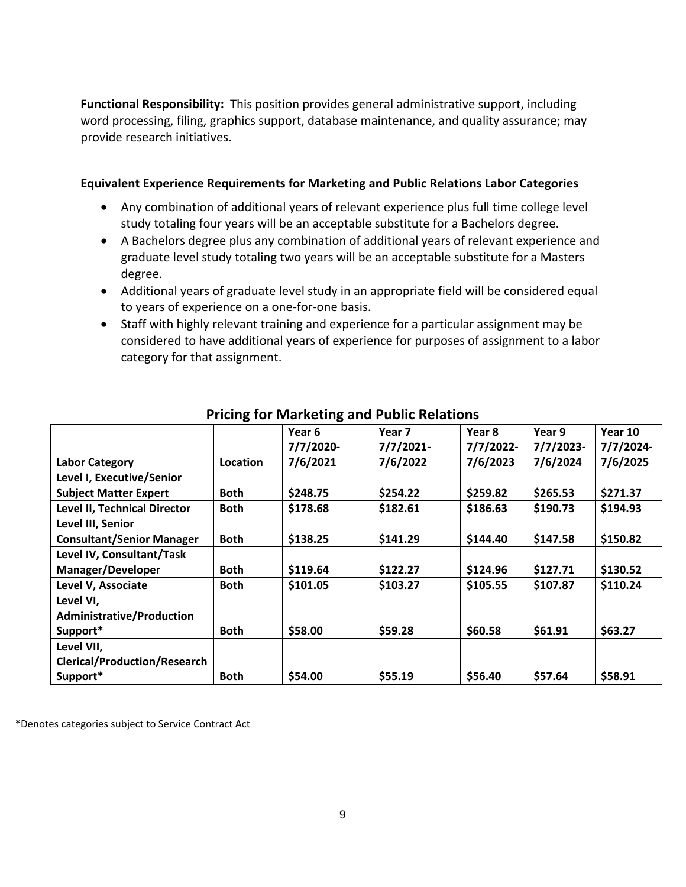**Functional Responsibility:** This position provides general administrative support, including word processing, filing, graphics support, database maintenance, and quality assurance; may provide research initiatives.

#### **Equivalent Experience Requirements for Marketing and Public Relations Labor Categories**

- Any combination of additional years of relevant experience plus full time college level study totaling four years will be an acceptable substitute for a Bachelors degree.
- A Bachelors degree plus any combination of additional years of relevant experience and graduate level study totaling two years will be an acceptable substitute for a Masters degree.
- Additional years of graduate level study in an appropriate field will be considered equal to years of experience on a one‐for‐one basis.
- Staff with highly relevant training and experience for a particular assignment may be considered to have additional years of experience for purposes of assignment to a labor category for that assignment.

|                                     | ັ           |           |              |              |             |           |
|-------------------------------------|-------------|-----------|--------------|--------------|-------------|-----------|
|                                     |             | Year 6    | Year 7       | Year 8       | Year 9      | Year 10   |
|                                     |             | 7/7/2020- | $7/7/2021$ - | $7/7/2022$ - | $7/7/2023-$ | 7/7/2024- |
| <b>Labor Category</b>               | Location    | 7/6/2021  | 7/6/2022     | 7/6/2023     | 7/6/2024    | 7/6/2025  |
| Level I, Executive/Senior           |             |           |              |              |             |           |
| <b>Subject Matter Expert</b>        | <b>Both</b> | \$248.75  | \$254.22     | \$259.82     | \$265.53    | \$271.37  |
| Level II, Technical Director        | <b>Both</b> | \$178.68  | \$182.61     | \$186.63     | \$190.73    | \$194.93  |
| Level III, Senior                   |             |           |              |              |             |           |
| <b>Consultant/Senior Manager</b>    | <b>Both</b> | \$138.25  | \$141.29     | \$144.40     | \$147.58    | \$150.82  |
| Level IV, Consultant/Task           |             |           |              |              |             |           |
| Manager/Developer                   | <b>Both</b> | \$119.64  | \$122.27     | \$124.96     | \$127.71    | \$130.52  |
| Level V, Associate                  | <b>Both</b> | \$101.05  | \$103.27     | \$105.55     | \$107.87    | \$110.24  |
| Level VI,                           |             |           |              |              |             |           |
| <b>Administrative/Production</b>    |             |           |              |              |             |           |
| Support*                            | <b>Both</b> | \$58.00   | \$59.28      | \$60.58      | \$61.91     | \$63.27   |
| Level VII,                          |             |           |              |              |             |           |
| <b>Clerical/Production/Research</b> |             |           |              |              |             |           |
| Support*                            | <b>Both</b> | \$54.00   | \$55.19      | \$56.40      | \$57.64     | \$58.91   |

## **Pricing for Marketing and Public Relations**

\*Denotes categories subject to Service Contract Act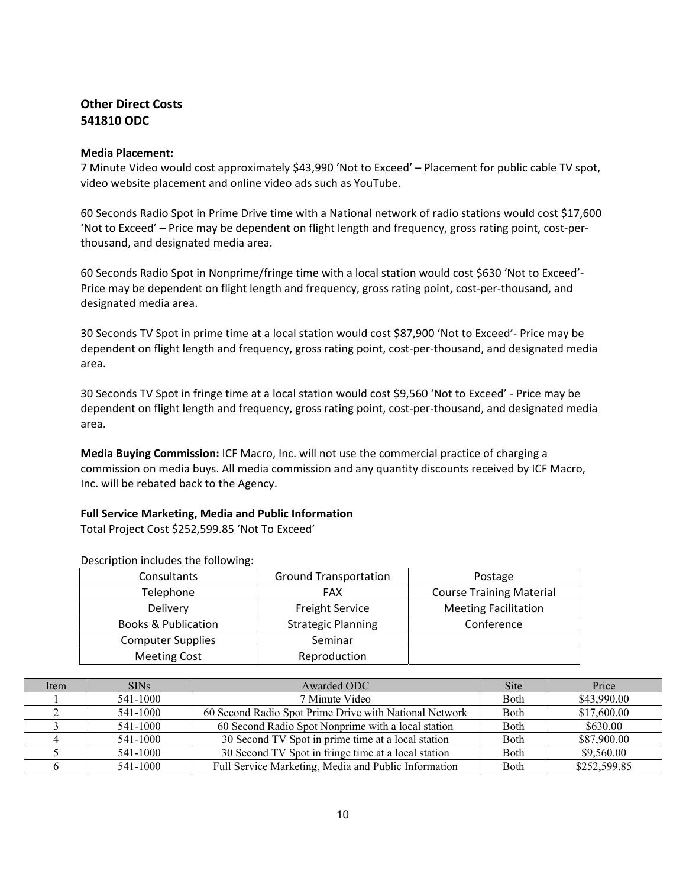#### **Other Direct Costs 541810 ODC**

#### **Media Placement:**

7 Minute Video would cost approximately \$43,990 'Not to Exceed' – Placement for public cable TV spot, video website placement and online video ads such as YouTube.

60 Seconds Radio Spot in Prime Drive time with a National network of radio stations would cost \$17,600 'Not to Exceed' – Price may be dependent on flight length and frequency, gross rating point, cost‐per‐ thousand, and designated media area.

60 Seconds Radio Spot in Nonprime/fringe time with a local station would cost \$630 'Not to Exceed'‐ Price may be dependent on flight length and frequency, gross rating point, cost‐per‐thousand, and designated media area.

30 Seconds TV Spot in prime time at a local station would cost \$87,900 'Not to Exceed'‐ Price may be dependent on flight length and frequency, gross rating point, cost‐per‐thousand, and designated media area.

30 Seconds TV Spot in fringe time at a local station would cost \$9,560 'Not to Exceed' ‐ Price may be dependent on flight length and frequency, gross rating point, cost‐per‐thousand, and designated media area.

**Media Buying Commission:** ICF Macro, Inc. will not use the commercial practice of charging a commission on media buys. All media commission and any quantity discounts received by ICF Macro, Inc. will be rebated back to the Agency.

#### **Full Service Marketing, Media and Public Information**

Total Project Cost \$252,599.85 'Not To Exceed'

| Consultants                    | <b>Ground Transportation</b> | Postage                         |
|--------------------------------|------------------------------|---------------------------------|
| Telephone                      | FAX                          | <b>Course Training Material</b> |
| Delivery                       | <b>Freight Service</b>       | <b>Meeting Facilitation</b>     |
| <b>Books &amp; Publication</b> | <b>Strategic Planning</b>    | Conference                      |
| <b>Computer Supplies</b>       | Seminar                      |                                 |
| <b>Meeting Cost</b>            | Reproduction                 |                                 |

Description includes the following:

| Item | <b>SINs</b> | Awarded ODC                                            | <b>Site</b>  | Price        |
|------|-------------|--------------------------------------------------------|--------------|--------------|
|      | 541-1000    | 7 Minute Video                                         | <b>Both</b>  | \$43,990.00  |
|      | 541-1000    | 60 Second Radio Spot Prime Drive with National Network | <b>B</b> oth | \$17,600.00  |
|      | 541-1000    | 60 Second Radio Spot Nonprime with a local station     | <b>Both</b>  | \$630.00     |
|      | 541-1000    | 30 Second TV Spot in prime time at a local station     | <b>Both</b>  | \$87,900.00  |
|      | 541-1000    | 30 Second TV Spot in fringe time at a local station    | <b>Both</b>  | \$9,560.00   |
|      | 541-1000    | Full Service Marketing, Media and Public Information   | Both         | \$252,599.85 |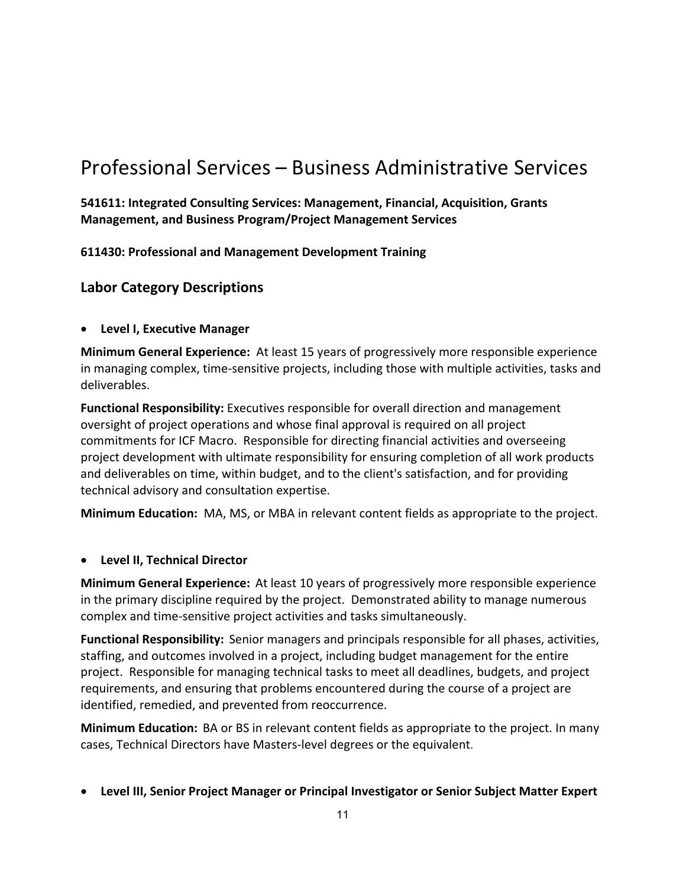# Professional Services – Business Administrative Services

**541611: Integrated Consulting Services: Management, Financial, Acquisition, Grants Management, and Business Program/Project Management Services**

**611430: Professional and Management Development Training**

## **Labor Category Descriptions**

#### **Level I, Executive Manager**

**Minimum General Experience:** At least 15 years of progressively more responsible experience in managing complex, time‐sensitive projects, including those with multiple activities, tasks and deliverables.

**Functional Responsibility:** Executives responsible for overall direction and management oversight of project operations and whose final approval is required on all project commitments for ICF Macro. Responsible for directing financial activities and overseeing project development with ultimate responsibility for ensuring completion of all work products and deliverables on time, within budget, and to the client's satisfaction, and for providing technical advisory and consultation expertise.

**Minimum Education:** MA, MS, or MBA in relevant content fields as appropriate to the project.

#### **Level II, Technical Director**

**Minimum General Experience:** At least 10 years of progressively more responsible experience in the primary discipline required by the project. Demonstrated ability to manage numerous complex and time‐sensitive project activities and tasks simultaneously.

**Functional Responsibility:** Senior managers and principals responsible for all phases, activities, staffing, and outcomes involved in a project, including budget management for the entire project. Responsible for managing technical tasks to meet all deadlines, budgets, and project requirements, and ensuring that problems encountered during the course of a project are identified, remedied, and prevented from reoccurrence.

**Minimum Education:** BA or BS in relevant content fields as appropriate to the project. In many cases, Technical Directors have Masters‐level degrees or the equivalent.

**Level III, Senior Project Manager or Principal Investigator or Senior Subject Matter Expert**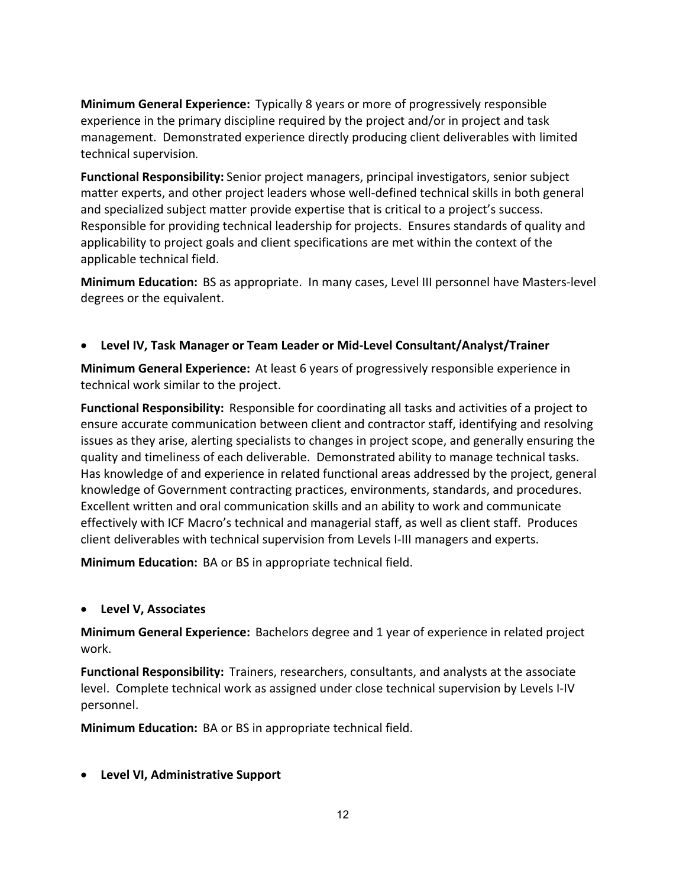**Minimum General Experience:** Typically 8 years or more of progressively responsible experience in the primary discipline required by the project and/or in project and task management. Demonstrated experience directly producing client deliverables with limited technical supervision.

**Functional Responsibility:** Senior project managers, principal investigators, senior subject matter experts, and other project leaders whose well‐defined technical skills in both general and specialized subject matter provide expertise that is critical to a project's success. Responsible for providing technical leadership for projects. Ensures standards of quality and applicability to project goals and client specifications are met within the context of the applicable technical field.

**Minimum Education:** BS as appropriate. In many cases, Level III personnel have Masters‐level degrees or the equivalent.

#### **Level IV, Task Manager or Team Leader or Mid‐Level Consultant/Analyst/Trainer**

**Minimum General Experience:** At least 6 years of progressively responsible experience in technical work similar to the project.

**Functional Responsibility:** Responsible for coordinating all tasks and activities of a project to ensure accurate communication between client and contractor staff, identifying and resolving issues as they arise, alerting specialists to changes in project scope, and generally ensuring the quality and timeliness of each deliverable. Demonstrated ability to manage technical tasks. Has knowledge of and experience in related functional areas addressed by the project, general knowledge of Government contracting practices, environments, standards, and procedures. Excellent written and oral communication skills and an ability to work and communicate effectively with ICF Macro's technical and managerial staff, as well as client staff. Produces client deliverables with technical supervision from Levels I‐III managers and experts.

**Minimum Education:** BA or BS in appropriate technical field.

#### **Level V, Associates**

**Minimum General Experience:** Bachelors degree and 1 year of experience in related project work.

**Functional Responsibility:** Trainers, researchers, consultants, and analysts at the associate level. Complete technical work as assigned under close technical supervision by Levels I‐IV personnel.

**Minimum Education:** BA or BS in appropriate technical field.

### **Level VI, Administrative Support**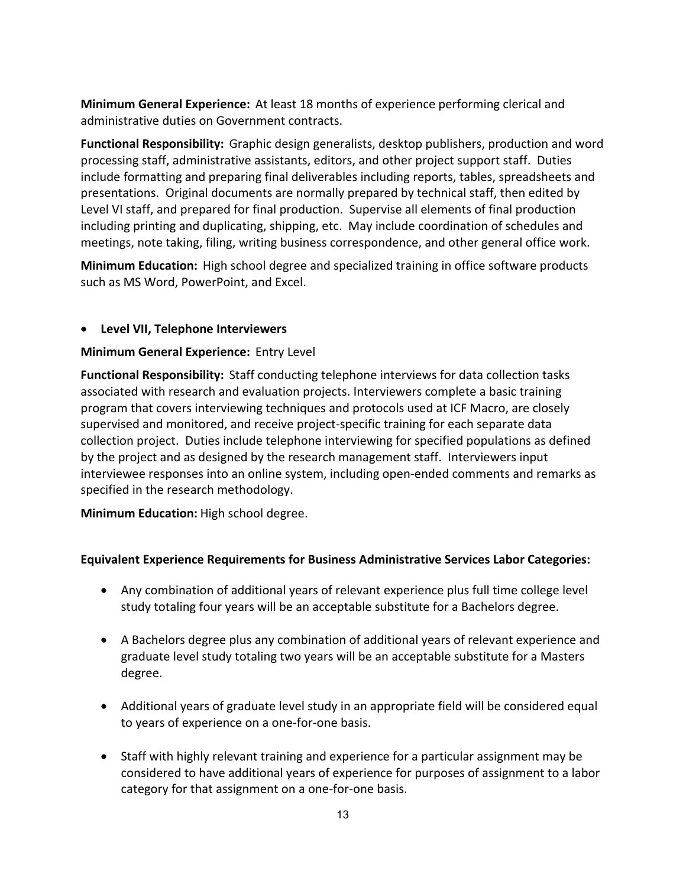**Minimum General Experience:** At least 18 months of experience performing clerical and administrative duties on Government contracts.

**Functional Responsibility:** Graphic design generalists, desktop publishers, production and word processing staff, administrative assistants, editors, and other project support staff. Duties include formatting and preparing final deliverables including reports, tables, spreadsheets and presentations. Original documents are normally prepared by technical staff, then edited by Level VI staff, and prepared for final production. Supervise all elements of final production including printing and duplicating, shipping, etc. May include coordination of schedules and meetings, note taking, filing, writing business correspondence, and other general office work.

**Minimum Education:** High school degree and specialized training in office software products such as MS Word, PowerPoint, and Excel.

#### **Level VII, Telephone Interviewers**

#### **Minimum General Experience:** Entry Level

**Functional Responsibility:** Staff conducting telephone interviews for data collection tasks associated with research and evaluation projects. Interviewers complete a basic training program that covers interviewing techniques and protocols used at ICF Macro, are closely supervised and monitored, and receive project-specific training for each separate data collection project. Duties include telephone interviewing for specified populations as defined by the project and as designed by the research management staff. Interviewers input interviewee responses into an online system, including open-ended comments and remarks as specified in the research methodology.

**Minimum Education:** High school degree.

#### **Equivalent Experience Requirements for Business Administrative Services Labor Categories:**

- Any combination of additional years of relevant experience plus full time college level study totaling four years will be an acceptable substitute for a Bachelors degree.
- A Bachelors degree plus any combination of additional years of relevant experience and graduate level study totaling two years will be an acceptable substitute for a Masters degree.
- Additional years of graduate level study in an appropriate field will be considered equal to years of experience on a one‐for‐one basis.
- Staff with highly relevant training and experience for a particular assignment may be considered to have additional years of experience for purposes of assignment to a labor category for that assignment on a one‐for‐one basis.